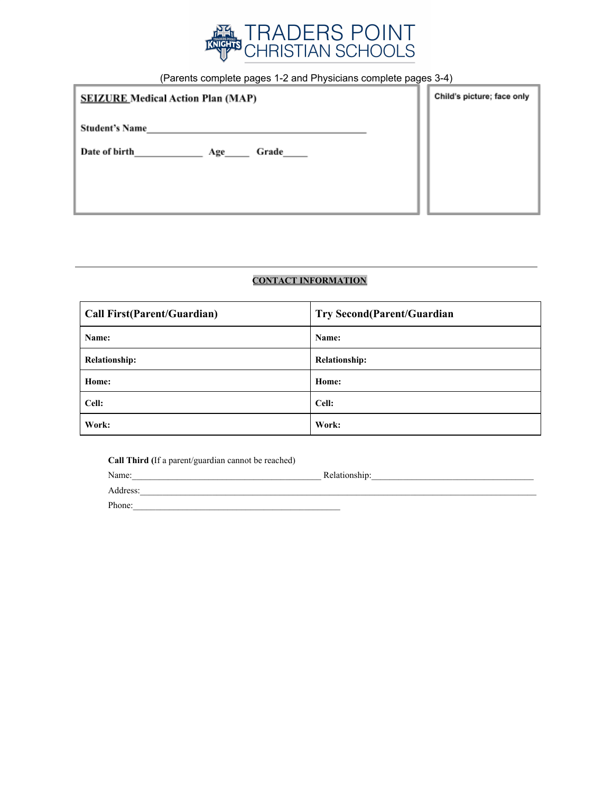

(Parents complete pages 1-2 and Physicians complete pages 3-4)

| <b>SEIZURE Medical Action Plan (MAP)</b> | Child's picture; face only |
|------------------------------------------|----------------------------|
| <b>Student's Name</b>                    |                            |
| Date of birth<br>Grade<br>Age            |                            |
|                                          |                            |
|                                          |                            |

## **CONTACT INFORMATION**

| <b>Call First(Parent/Guardian)</b> | <b>Try Second(Parent/Guardian</b> |
|------------------------------------|-----------------------------------|
| Name:                              | Name:                             |
| <b>Relationship:</b>               | <b>Relationship:</b>              |
| Home:                              | Home:                             |
| Cell:                              | Cell:                             |
| Work:                              | Work:                             |

**Call Third (**If a parent/guardian cannot be reached)

Name:\_\_\_\_\_\_\_\_\_\_\_\_\_\_\_\_\_\_\_\_\_\_\_\_\_\_\_\_\_\_\_\_\_\_\_\_\_\_\_\_\_\_ Relationship:\_\_\_\_\_\_\_\_\_\_\_\_\_\_\_\_\_\_\_\_\_\_\_\_\_\_\_\_\_\_\_\_\_\_\_\_ Address:\_\_\_\_\_\_\_\_\_\_\_\_\_\_\_\_\_\_\_\_\_\_\_\_\_\_\_\_\_\_\_\_\_\_\_\_\_\_\_\_\_\_\_\_\_\_\_\_\_\_\_\_\_\_\_\_\_\_\_\_\_\_\_\_\_\_\_\_\_\_\_\_\_\_\_\_\_\_\_\_\_\_\_\_\_\_\_\_ Phone:\_\_\_\_\_\_\_\_\_\_\_\_\_\_\_\_\_\_\_\_\_\_\_\_\_\_\_\_\_\_\_\_\_\_\_\_\_\_\_\_\_\_\_\_\_\_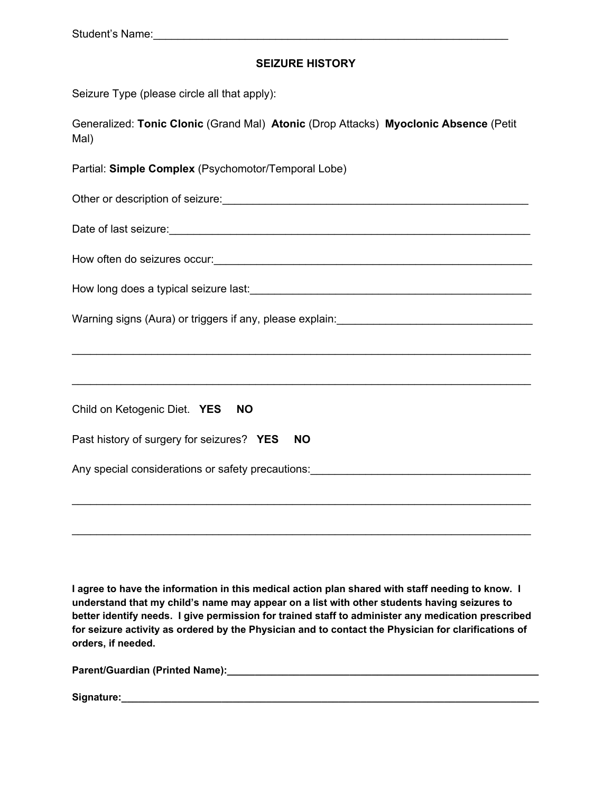## **SEIZURE HISTORY**

| Seizure Type (please circle all that apply): |  |  |  |  |  |  |  |
|----------------------------------------------|--|--|--|--|--|--|--|
|----------------------------------------------|--|--|--|--|--|--|--|

Generalized: **Tonic Clonic** (Grand Mal) **Atonic** (Drop Attacks) **Myoclonic Absence** (Petit Mal)

Partial: **Simple Complex** (Psychomotor/Temporal Lobe)

| Other or description of seizure: |  |
|----------------------------------|--|
|----------------------------------|--|

Date of last seizure:\_\_\_\_\_\_\_\_\_\_\_\_\_\_\_\_\_\_\_\_\_\_\_\_\_\_\_\_\_\_\_\_\_\_\_\_\_\_\_\_\_\_\_\_\_\_\_\_\_\_\_\_\_\_\_\_\_\_\_

| How often do seizures occur: |  |
|------------------------------|--|
|------------------------------|--|

| How long does a typical seizure last: |  |
|---------------------------------------|--|
|                                       |  |

Warning signs (Aura) or triggers if any, please explain: \_\_\_\_\_\_\_\_\_\_\_\_\_\_\_\_\_\_\_\_\_\_\_

| Child on Ketogenic Diet. YES<br><b>NO</b>              |
|--------------------------------------------------------|
| Past history of surgery for seizures? YES<br><b>NO</b> |
| Any special considerations or safety precautions:      |
|                                                        |

\_\_\_\_\_\_\_\_\_\_\_\_\_\_\_\_\_\_\_\_\_\_\_\_\_\_\_\_\_\_\_\_\_\_\_\_\_\_\_\_\_\_\_\_\_\_\_\_\_\_\_\_\_\_\_\_\_\_\_\_\_\_\_\_\_\_\_\_\_\_\_\_\_\_\_

\_\_\_\_\_\_\_\_\_\_\_\_\_\_\_\_\_\_\_\_\_\_\_\_\_\_\_\_\_\_\_\_\_\_\_\_\_\_\_\_\_\_\_\_\_\_\_\_\_\_\_\_\_\_\_\_\_\_\_\_\_\_\_\_\_\_\_\_\_\_\_\_\_\_\_

**I agree to have the information in this medical action plan shared with staff needing to know. I understand that my child's name may appear on a list with other students having seizures to better identify needs. I give permission for trained staff to administer any medication prescribed for seizure activity as ordered by the Physician and to contact the Physician for clarifications of orders, if needed.**

\_\_\_\_\_\_\_\_\_\_\_\_\_\_\_\_\_\_\_\_\_\_\_\_\_\_\_\_\_\_\_\_\_\_\_\_\_\_\_\_\_\_\_\_\_\_\_\_\_\_\_\_\_\_\_\_\_\_\_\_\_\_\_\_\_\_\_\_\_\_\_\_\_\_\_

**Parent/Guardian (Printed Name):\_\_\_\_\_\_\_\_\_\_\_\_\_\_\_\_\_\_\_\_\_\_\_\_\_\_\_\_\_\_\_\_\_\_\_\_\_\_\_\_\_\_\_\_\_\_\_\_\_\_\_\_\_\_\_\_**

Signature: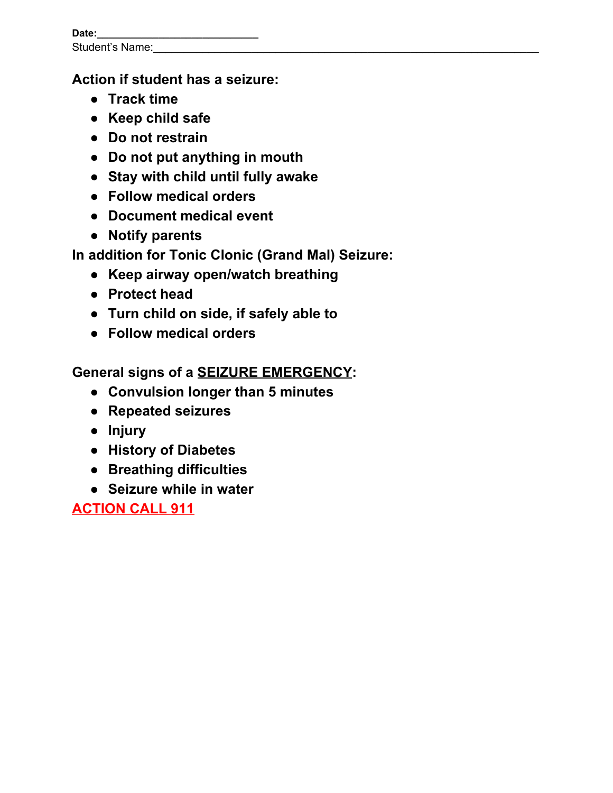| Date:                  |  |
|------------------------|--|
| <b>Student's Name:</b> |  |

## **Action if student has a seizure:**

- **● Track time**
- **● Keep child safe**
- **● Do not restrain**
- **● Do not put anything in mouth**
- **● Stay with child until fully awake**
- **● Follow medical orders**
- **● Document medical event**
- **● Notify parents**

**In addition for Tonic Clonic (Grand Mal) Seizure:**

- **● Keep airway open/watch breathing**
- **● Protect head**
- **● Turn child on side, if safely able to**
- **● Follow medical orders**

**General signs of a SEIZURE EMERGENCY:**

- **● Convulsion longer than 5 minutes**
- **● Repeated seizures**
- **● Injury**
- **● History of Diabetes**
- **● Breathing difficulties**
- **● Seizure while in water**

**ACTION CALL 911**